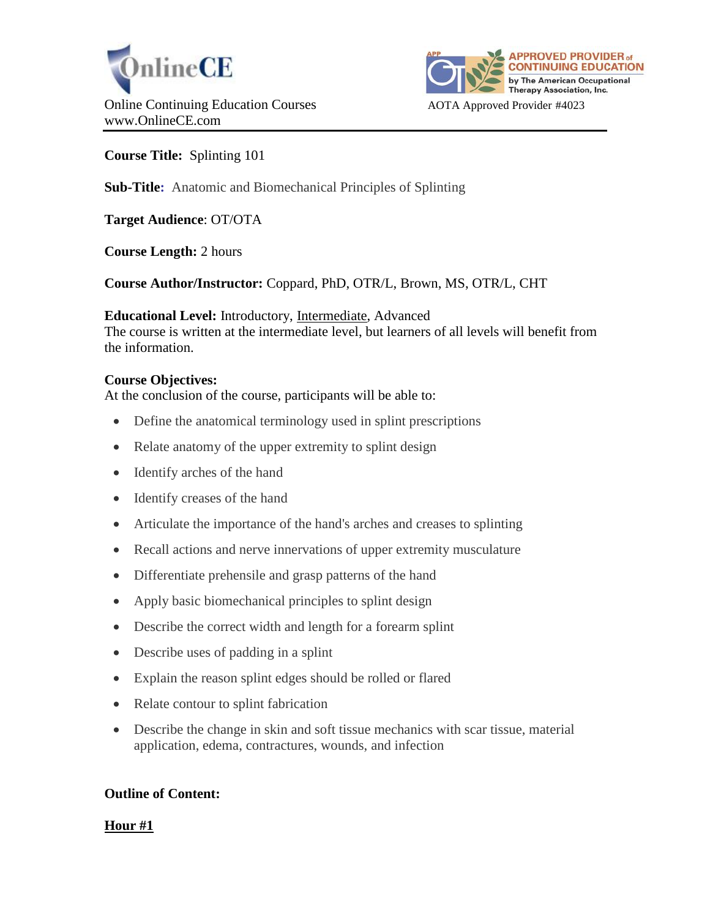



**Course Title:** Splinting 101

**Sub-Title:** Anatomic and Biomechanical Principles of Splinting

**Target Audience**: OT/OTA

**Course Length:** 2 hours

**Course Author/Instructor:** Coppard, PhD, OTR/L, Brown, MS, OTR/L, CHT

**Educational Level:** Introductory, Intermediate, Advanced The course is written at the intermediate level, but learners of all levels will benefit from the information.

# **Course Objectives:**

At the conclusion of the course, participants will be able to:

- Define the anatomical terminology used in splint prescriptions
- Relate anatomy of the upper extremity to splint design
- Identify arches of the hand
- Identify creases of the hand
- Articulate the importance of the hand's arches and creases to splinting
- Recall actions and nerve innervations of upper extremity musculature
- Differentiate prehensile and grasp patterns of the hand
- Apply basic biomechanical principles to splint design
- Describe the correct width and length for a forearm splint
- Describe uses of padding in a splint
- Explain the reason splint edges should be rolled or flared
- Relate contour to splint fabrication
- Describe the change in skin and soft tissue mechanics with scar tissue, material application, edema, contractures, wounds, and infection

## **Outline of Content:**

## **Hour #1**